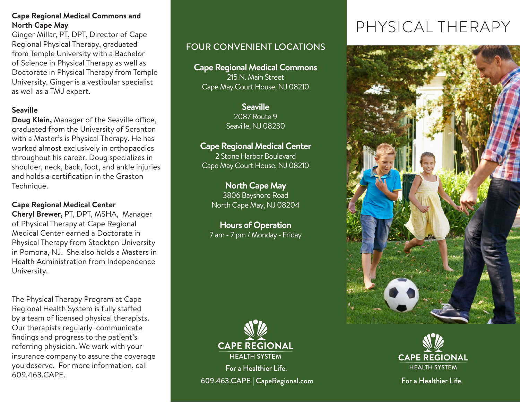### **Cape Regional Medical Commons and North Cape May**

Ginger Millar, PT, DPT, Director of Cape Regional Physical Therapy, graduated from Temple University with a Bachelor of Science in Physical Therapy as well as Doctorate in Physical Therapy from Temple University. Ginger is a vestibular specialist as well as a TMJ expert.

## **Seaville**

**Doug Klein,** Manager of the Seaville office, graduated from the University of Scranton with a Master's is Physical Therapy. He has worked almost exclusively in orthopaedics throughout his career. Doug specializes in shoulder, neck, back, foot, and ankle injuries and holds a certification in the Graston Technique.

# **Cape Regional Medical Center**

**Cheryl Brewer,** PT, DPT, MSHA, Manager of Physical Therapy at Cape Regional Medical Center earned a Doctorate in Physical Therapy from Stockton University in Pomona, NJ. She also holds a Masters in Health Administration from Independence University.

The Physical Therapy Program at Cape Regional Health System is fully staffed by a team of licensed physical therapists. Our therapists regularly communicate findings and progress to the patient's referring physician. We work with your insurance company to assure the coverage you deserve. For more information, call 609.463.CAPE.

# FOUR CONVENIENT LOCATIONS

**Cape Regional Medical Commons** 215 N. Main Street Cape May Court House, NJ 08210

> **Seaville** 2087 Route 9 Seaville, NJ 08230

## **Cape Regional Medical Center**

2 Stone Harbor Boulevard Cape May Court House, NJ 08210

# **North Cape May**

3806 Bayshore Road North Cape May, NJ 08204

**Hours of Operation**  7 am - 7 pm / Monday - Friday



For a Healthier Life. 609.463.CAPE | CapeRegional.com

# PHYSICAL THERAPY





For a Healthier Life.